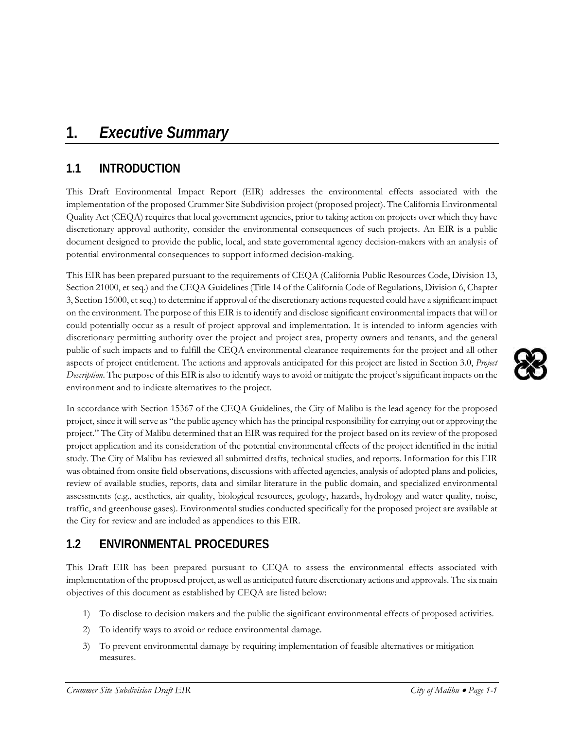# **1.** *Executive Summary*

## **1.1 INTRODUCTION**

This Draft Environmental Impact Report (EIR) addresses the environmental effects associated with the implementation of the proposed Crummer Site Subdivision project (proposed project). The California Environmental Quality Act (CEQA) requires that local government agencies, prior to taking action on projects over which they have discretionary approval authority, consider the environmental consequences of such projects. An EIR is a public document designed to provide the public, local, and state governmental agency decision-makers with an analysis of potential environmental consequences to support informed decision-making.

This EIR has been prepared pursuant to the requirements of CEQA (California Public Resources Code, Division 13, Section 21000, et seq.) and the CEQA Guidelines (Title 14 of the California Code of Regulations, Division 6, Chapter 3, Section 15000, et seq.) to determine if approval of the discretionary actions requested could have a significant impact on the environment. The purpose of this EIR is to identify and disclose significant environmental impacts that will or could potentially occur as a result of project approval and implementation. It is intended to inform agencies with discretionary permitting authority over the project and project area, property owners and tenants, and the general public of such impacts and to fulfill the CEQA environmental clearance requirements for the project and all other aspects of project entitlement. The actions and approvals anticipated for this project are listed in Section 3.0, *Project Description*. The purpose of this EIR is also to identify ways to avoid or mitigate the project's significant impacts on the environment and to indicate alternatives to the project.

In accordance with Section 15367 of the CEQA Guidelines, the City of Malibu is the lead agency for the proposed project, since it will serve as "the public agency which has the principal responsibility for carrying out or approving the project." The City of Malibu determined that an EIR was required for the project based on its review of the proposed project application and its consideration of the potential environmental effects of the project identified in the initial study. The City of Malibu has reviewed all submitted drafts, technical studies, and reports. Information for this EIR was obtained from onsite field observations, discussions with affected agencies, analysis of adopted plans and policies, review of available studies, reports, data and similar literature in the public domain, and specialized environmental assessments (e.g., aesthetics, air quality, biological resources, geology, hazards, hydrology and water quality, noise, traffic, and greenhouse gases). Environmental studies conducted specifically for the proposed project are available at the City for review and are included as appendices to this EIR.

## **1.2 ENVIRONMENTAL PROCEDURES**

This Draft EIR has been prepared pursuant to CEQA to assess the environmental effects associated with implementation of the proposed project, as well as anticipated future discretionary actions and approvals. The six main objectives of this document as established by CEQA are listed below:

- 1) To disclose to decision makers and the public the significant environmental effects of proposed activities.
- 2) To identify ways to avoid or reduce environmental damage.
- 3) To prevent environmental damage by requiring implementation of feasible alternatives or mitigation measures.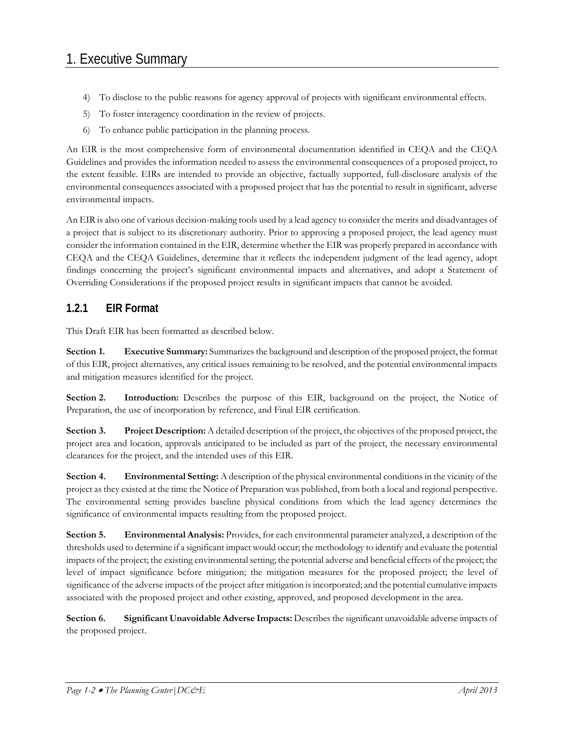- 4) To disclose to the public reasons for agency approval of projects with significant environmental effects.
- 5) To foster interagency coordination in the review of projects.
- 6) To enhance public participation in the planning process.

An EIR is the most comprehensive form of environmental documentation identified in CEQA and the CEQA Guidelines and provides the information needed to assess the environmental consequences of a proposed project, to the extent feasible. EIRs are intended to provide an objective, factually supported, full-disclosure analysis of the environmental consequences associated with a proposed project that has the potential to result in significant, adverse environmental impacts.

An EIR is also one of various decision-making tools used by a lead agency to consider the merits and disadvantages of a project that is subject to its discretionary authority. Prior to approving a proposed project, the lead agency must consider the information contained in the EIR, determine whether the EIR was properly prepared in accordance with CEQA and the CEQA Guidelines, determine that it reflects the independent judgment of the lead agency, adopt findings concerning the project's significant environmental impacts and alternatives, and adopt a Statement of Overriding Considerations if the proposed project results in significant impacts that cannot be avoided.

#### **1.2.1 EIR Format**

This Draft EIR has been formatted as described below.

**Section 1. Executive Summary:** Summarizes the background and description of the proposed project, the format of this EIR, project alternatives, any critical issues remaining to be resolved, and the potential environmental impacts and mitigation measures identified for the project.

**Section 2.** Introduction: Describes the purpose of this EIR, background on the project, the Notice of Preparation, the use of incorporation by reference, and Final EIR certification.

**Section 3.** Project Description: A detailed description of the project, the objectives of the proposed project, the project area and location, approvals anticipated to be included as part of the project, the necessary environmental clearances for the project, and the intended uses of this EIR.

**Section 4.** Environmental Setting: A description of the physical environmental conditions in the vicinity of the project as they existed at the time the Notice of Preparation was published, from both a local and regional perspective. The environmental setting provides baseline physical conditions from which the lead agency determines the significance of environmental impacts resulting from the proposed project.

**Section 5. Environmental Analysis:** Provides, for each environmental parameter analyzed, a description of the thresholds used to determine if a significant impact would occur; the methodology to identify and evaluate the potential impacts of the project; the existing environmental setting; the potential adverse and beneficial effects of the project; the level of impact significance before mitigation; the mitigation measures for the proposed project; the level of significance of the adverse impacts of the project after mitigation is incorporated; and the potential cumulative impacts associated with the proposed project and other existing, approved, and proposed development in the area.

**Section 6. Significant Unavoidable Adverse Impacts:** Describes the significant unavoidable adverse impacts of the proposed project.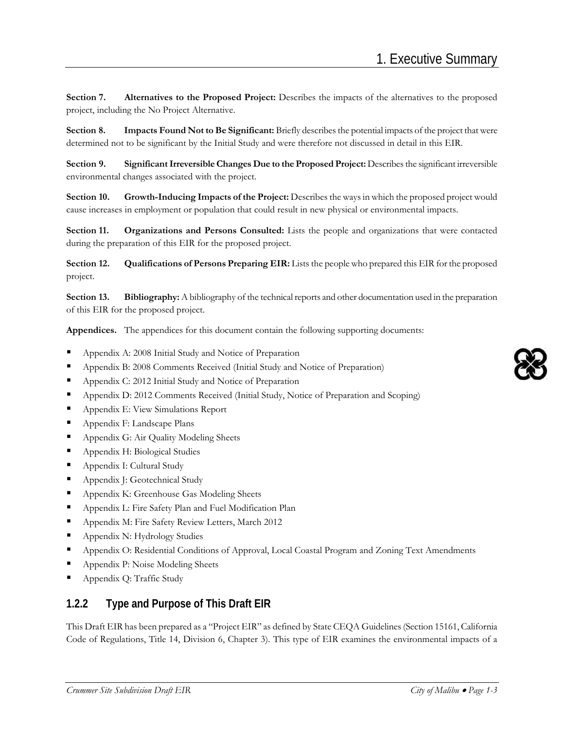**Section 7. Alternatives to the Proposed Project:** Describes the impacts of the alternatives to the proposed project, including the No Project Alternative.

**Section 8. Impacts Found Not to Be Significant:** Briefly describes the potential impacts of the project that were determined not to be significant by the Initial Study and were therefore not discussed in detail in this EIR.

**Section 9. Significant Irreversible Changes Due to the Proposed Project:** Describes the significant irreversible environmental changes associated with the project.

**Section 10. Growth-Inducing Impacts of the Project:** Describes the ways in which the proposed project would cause increases in employment or population that could result in new physical or environmental impacts.

**Section 11. Organizations and Persons Consulted:** Lists the people and organizations that were contacted during the preparation of this EIR for the proposed project.

**Section 12.** Qualifications of Persons Preparing EIR: Lists the people who prepared this EIR for the proposed project.

**Section 13.** Bibliography: A bibliography of the technical reports and other documentation used in the preparation of this EIR for the proposed project.

**Appendices.** The appendices for this document contain the following supporting documents:

- Appendix A: 2008 Initial Study and Notice of Preparation
- Appendix B: 2008 Comments Received (Initial Study and Notice of Preparation)
- Appendix C: 2012 Initial Study and Notice of Preparation
- **Appendix D: 2012 Comments Received (Initial Study, Notice of Preparation and Scoping)**
- **Appendix E: View Simulations Report**
- Appendix F: Landscape Plans
- **Appendix G: Air Quality Modeling Sheets**
- **Appendix H: Biological Studies**
- Appendix I: Cultural Study
- Appendix J: Geotechnical Study
- **Appendix K: Greenhouse Gas Modeling Sheets**
- **Appendix L: Fire Safety Plan and Fuel Modification Plan**
- **Appendix M: Fire Safety Review Letters, March 2012**
- **Appendix N: Hydrology Studies**
- **Appendix O: Residential Conditions of Approval, Local Coastal Program and Zoning Text Amendments**
- Appendix P: Noise Modeling Sheets
- Appendix Q: Traffic Study

#### **1.2.2 Type and Purpose of This Draft EIR**

This Draft EIR has been prepared as a "Project EIR" as defined by State CEQA Guidelines (Section 15161, California Code of Regulations, Title 14, Division 6, Chapter 3). This type of EIR examines the environmental impacts of a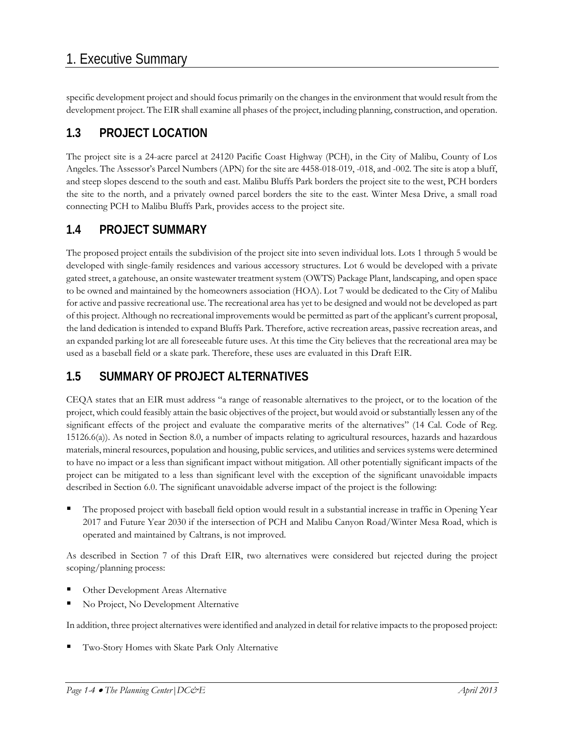specific development project and should focus primarily on the changes in the environment that would result from the development project. The EIR shall examine all phases of the project, including planning, construction, and operation.

## **1.3 PROJECT LOCATION**

The project site is a 24-acre parcel at 24120 Pacific Coast Highway (PCH), in the City of Malibu, County of Los Angeles. The Assessor's Parcel Numbers (APN) for the site are 4458-018-019, -018, and -002. The site is atop a bluff, and steep slopes descend to the south and east. Malibu Bluffs Park borders the project site to the west, PCH borders the site to the north, and a privately owned parcel borders the site to the east. Winter Mesa Drive, a small road connecting PCH to Malibu Bluffs Park, provides access to the project site.

### **1.4 PROJECT SUMMARY**

The proposed project entails the subdivision of the project site into seven individual lots. Lots 1 through 5 would be developed with single-family residences and various accessory structures. Lot 6 would be developed with a private gated street, a gatehouse, an onsite wastewater treatment system (OWTS) Package Plant, landscaping, and open space to be owned and maintained by the homeowners association (HOA). Lot 7 would be dedicated to the City of Malibu for active and passive recreational use. The recreational area has yet to be designed and would not be developed as part of this project. Although no recreational improvements would be permitted as part of the applicant's current proposal, the land dedication is intended to expand Bluffs Park. Therefore, active recreation areas, passive recreation areas, and an expanded parking lot are all foreseeable future uses. At this time the City believes that the recreational area may be used as a baseball field or a skate park. Therefore, these uses are evaluated in this Draft EIR.

## **1.5 SUMMARY OF PROJECT ALTERNATIVES**

CEQA states that an EIR must address "a range of reasonable alternatives to the project, or to the location of the project, which could feasibly attain the basic objectives of the project, but would avoid or substantially lessen any of the significant effects of the project and evaluate the comparative merits of the alternatives" (14 Cal. Code of Reg. 15126.6(a)). As noted in Section 8.0, a number of impacts relating to agricultural resources, hazards and hazardous materials, mineral resources, population and housing, public services, and utilities and services systems were determined to have no impact or a less than significant impact without mitigation. All other potentially significant impacts of the project can be mitigated to a less than significant level with the exception of the significant unavoidable impacts described in Section 6.0. The significant unavoidable adverse impact of the project is the following:

 The proposed project with baseball field option would result in a substantial increase in traffic in Opening Year 2017 and Future Year 2030 if the intersection of PCH and Malibu Canyon Road/Winter Mesa Road, which is operated and maintained by Caltrans, is not improved.

As described in Section 7 of this Draft EIR, two alternatives were considered but rejected during the project scoping/planning process:

- Other Development Areas Alternative
- No Project, No Development Alternative

In addition, three project alternatives were identified and analyzed in detail for relative impacts to the proposed project:

Two-Story Homes with Skate Park Only Alternative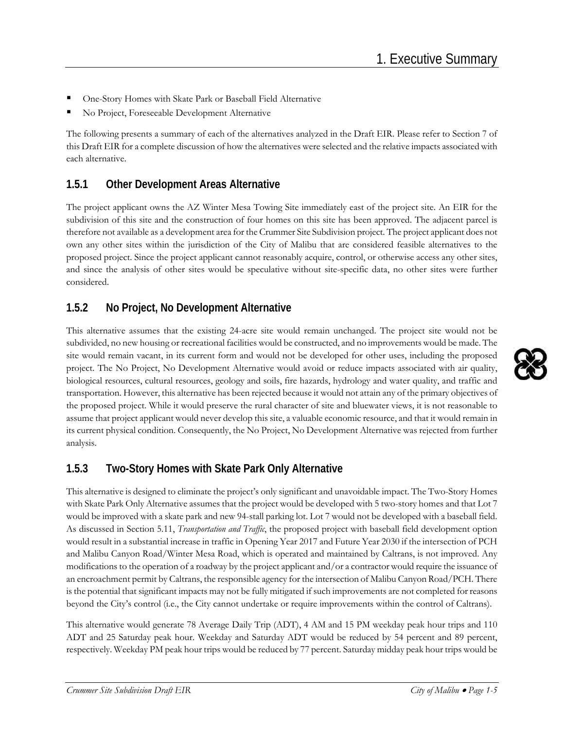- One-Story Homes with Skate Park or Baseball Field Alternative
- No Project, Foreseeable Development Alternative

The following presents a summary of each of the alternatives analyzed in the Draft EIR. Please refer to Section 7 of this Draft EIR for a complete discussion of how the alternatives were selected and the relative impacts associated with each alternative.

#### **1.5.1 Other Development Areas Alternative**

The project applicant owns the AZ Winter Mesa Towing Site immediately east of the project site. An EIR for the subdivision of this site and the construction of four homes on this site has been approved. The adjacent parcel is therefore not available as a development area for the Crummer Site Subdivision project. The project applicant does not own any other sites within the jurisdiction of the City of Malibu that are considered feasible alternatives to the proposed project. Since the project applicant cannot reasonably acquire, control, or otherwise access any other sites, and since the analysis of other sites would be speculative without site-specific data, no other sites were further considered.

#### **1.5.2 No Project, No Development Alternative**

This alternative assumes that the existing 24-acre site would remain unchanged. The project site would not be subdivided, no new housing or recreational facilities would be constructed, and no improvements would be made. The site would remain vacant, in its current form and would not be developed for other uses, including the proposed project. The No Project, No Development Alternative would avoid or reduce impacts associated with air quality, biological resources, cultural resources, geology and soils, fire hazards, hydrology and water quality, and traffic and transportation. However, this alternative has been rejected because it would not attain any of the primary objectives of the proposed project. While it would preserve the rural character of site and bluewater views, it is not reasonable to assume that project applicant would never develop this site, a valuable economic resource, and that it would remain in its current physical condition. Consequently, the No Project, No Development Alternative was rejected from further analysis.

#### **1.5.3 Two-Story Homes with Skate Park Only Alternative**

This alternative is designed to eliminate the project's only significant and unavoidable impact. The Two-Story Homes with Skate Park Only Alternative assumes that the project would be developed with 5 two-story homes and that Lot 7 would be improved with a skate park and new 94-stall parking lot. Lot 7 would not be developed with a baseball field. As discussed in Section 5.11, *Transportation and Traffic*, the proposed project with baseball field development option would result in a substantial increase in traffic in Opening Year 2017 and Future Year 2030 if the intersection of PCH and Malibu Canyon Road/Winter Mesa Road, which is operated and maintained by Caltrans, is not improved. Any modifications to the operation of a roadway by the project applicant and/or a contractor would require the issuance of an encroachment permit by Caltrans, the responsible agency for the intersection of Malibu Canyon Road/PCH. There is the potential that significant impacts may not be fully mitigated if such improvements are not completed for reasons beyond the City's control (i.e., the City cannot undertake or require improvements within the control of Caltrans).

This alternative would generate 78 Average Daily Trip (ADT), 4 AM and 15 PM weekday peak hour trips and 110 ADT and 25 Saturday peak hour. Weekday and Saturday ADT would be reduced by 54 percent and 89 percent, respectively. Weekday PM peak hour trips would be reduced by 77 percent. Saturday midday peak hour trips would be

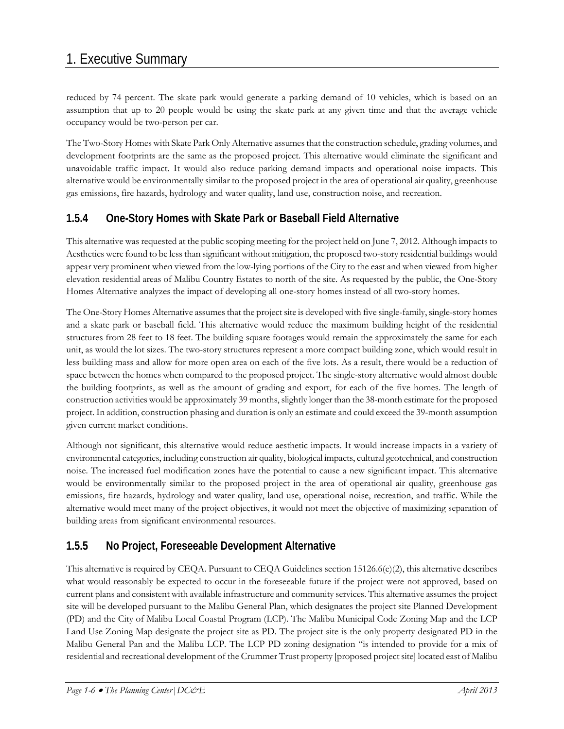reduced by 74 percent. The skate park would generate a parking demand of 10 vehicles, which is based on an assumption that up to 20 people would be using the skate park at any given time and that the average vehicle occupancy would be two-person per car.

The Two-Story Homes with Skate Park Only Alternative assumes that the construction schedule, grading volumes, and development footprints are the same as the proposed project. This alternative would eliminate the significant and unavoidable traffic impact. It would also reduce parking demand impacts and operational noise impacts. This alternative would be environmentally similar to the proposed project in the area of operational air quality, greenhouse gas emissions, fire hazards, hydrology and water quality, land use, construction noise, and recreation.

#### **1.5.4 One-Story Homes with Skate Park or Baseball Field Alternative**

This alternative was requested at the public scoping meeting for the project held on June 7, 2012. Although impacts to Aesthetics were found to be less than significant without mitigation, the proposed two-story residential buildings would appear very prominent when viewed from the low-lying portions of the City to the east and when viewed from higher elevation residential areas of Malibu Country Estates to north of the site. As requested by the public, the One-Story Homes Alternative analyzes the impact of developing all one-story homes instead of all two-story homes.

The One-Story Homes Alternative assumes that the project site is developed with five single-family, single-story homes and a skate park or baseball field. This alternative would reduce the maximum building height of the residential structures from 28 feet to 18 feet. The building square footages would remain the approximately the same for each unit, as would the lot sizes. The two-story structures represent a more compact building zone, which would result in less building mass and allow for more open area on each of the five lots. As a result, there would be a reduction of space between the homes when compared to the proposed project. The single-story alternative would almost double the building footprints, as well as the amount of grading and export, for each of the five homes. The length of construction activities would be approximately 39 months, slightly longer than the 38-month estimate for the proposed project. In addition, construction phasing and duration is only an estimate and could exceed the 39-month assumption given current market conditions.

Although not significant, this alternative would reduce aesthetic impacts. It would increase impacts in a variety of environmental categories, including construction air quality, biological impacts, cultural geotechnical, and construction noise. The increased fuel modification zones have the potential to cause a new significant impact. This alternative would be environmentally similar to the proposed project in the area of operational air quality, greenhouse gas emissions, fire hazards, hydrology and water quality, land use, operational noise, recreation, and traffic. While the alternative would meet many of the project objectives, it would not meet the objective of maximizing separation of building areas from significant environmental resources.

#### **1.5.5 No Project, Foreseeable Development Alternative**

This alternative is required by CEQA. Pursuant to CEQA Guidelines section 15126.6(e)(2), this alternative describes what would reasonably be expected to occur in the foreseeable future if the project were not approved, based on current plans and consistent with available infrastructure and community services. This alternative assumes the project site will be developed pursuant to the Malibu General Plan, which designates the project site Planned Development (PD) and the City of Malibu Local Coastal Program (LCP). The Malibu Municipal Code Zoning Map and the LCP Land Use Zoning Map designate the project site as PD. The project site is the only property designated PD in the Malibu General Pan and the Malibu LCP. The LCP PD zoning designation "is intended to provide for a mix of residential and recreational development of the Crummer Trust property [proposed project site] located east of Malibu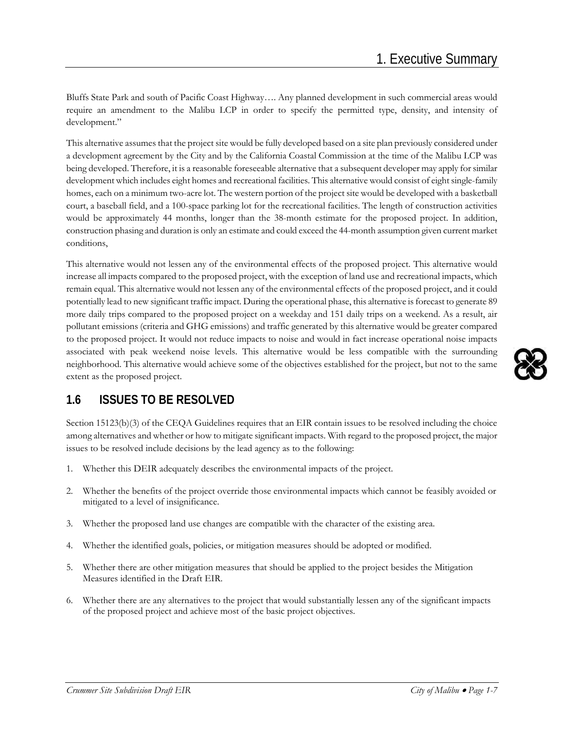Bluffs State Park and south of Pacific Coast Highway…. Any planned development in such commercial areas would require an amendment to the Malibu LCP in order to specify the permitted type, density, and intensity of development."

This alternative assumes that the project site would be fully developed based on a site plan previously considered under a development agreement by the City and by the California Coastal Commission at the time of the Malibu LCP was being developed. Therefore, it is a reasonable foreseeable alternative that a subsequent developer may apply for similar development which includes eight homes and recreational facilities. This alternative would consist of eight single-family homes, each on a minimum two-acre lot. The western portion of the project site would be developed with a basketball court, a baseball field, and a 100-space parking lot for the recreational facilities. The length of construction activities would be approximately 44 months, longer than the 38-month estimate for the proposed project. In addition, construction phasing and duration is only an estimate and could exceed the 44-month assumption given current market conditions,

This alternative would not lessen any of the environmental effects of the proposed project. This alternative would increase all impacts compared to the proposed project, with the exception of land use and recreational impacts, which remain equal. This alternative would not lessen any of the environmental effects of the proposed project, and it could potentially lead to new significant traffic impact. During the operational phase, this alternative is forecast to generate 89 more daily trips compared to the proposed project on a weekday and 151 daily trips on a weekend. As a result, air pollutant emissions (criteria and GHG emissions) and traffic generated by this alternative would be greater compared to the proposed project. It would not reduce impacts to noise and would in fact increase operational noise impacts associated with peak weekend noise levels. This alternative would be less compatible with the surrounding neighborhood. This alternative would achieve some of the objectives established for the project, but not to the same extent as the proposed project.

## **1.6 ISSUES TO BE RESOLVED**

Section 15123(b)(3) of the CEQA Guidelines requires that an EIR contain issues to be resolved including the choice among alternatives and whether or how to mitigate significant impacts. With regard to the proposed project, the major issues to be resolved include decisions by the lead agency as to the following:

- 1. Whether this DEIR adequately describes the environmental impacts of the project.
- 2. Whether the benefits of the project override those environmental impacts which cannot be feasibly avoided or mitigated to a level of insignificance.
- 3. Whether the proposed land use changes are compatible with the character of the existing area.
- 4. Whether the identified goals, policies, or mitigation measures should be adopted or modified.
- 5. Whether there are other mitigation measures that should be applied to the project besides the Mitigation Measures identified in the Draft EIR.
- 6. Whether there are any alternatives to the project that would substantially lessen any of the significant impacts of the proposed project and achieve most of the basic project objectives.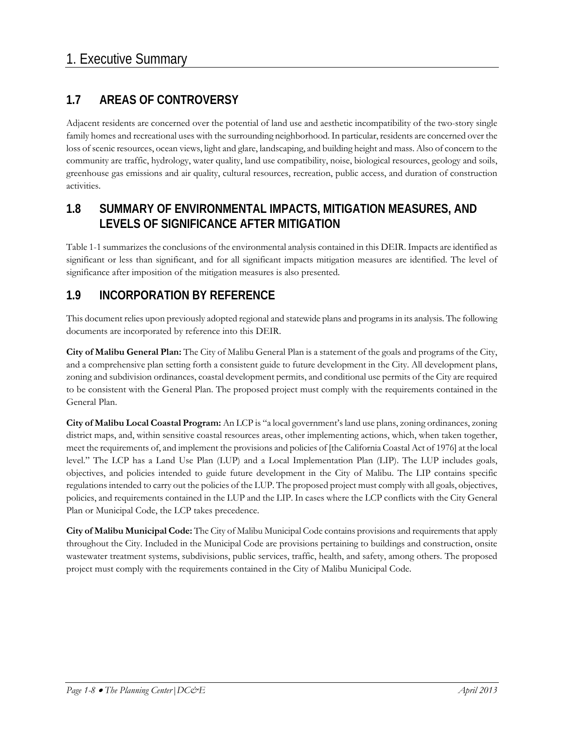## **1.7 AREAS OF CONTROVERSY**

Adjacent residents are concerned over the potential of land use and aesthetic incompatibility of the two-story single family homes and recreational uses with the surrounding neighborhood. In particular, residents are concerned over the loss of scenic resources, ocean views, light and glare, landscaping, and building height and mass. Also of concern to the community are traffic, hydrology, water quality, land use compatibility, noise, biological resources, geology and soils, greenhouse gas emissions and air quality, cultural resources, recreation, public access, and duration of construction activities.

### **1.8 SUMMARY OF ENVIRONMENTAL IMPACTS, MITIGATION MEASURES, AND LEVELS OF SIGNIFICANCE AFTER MITIGATION**

Table 1-1 summarizes the conclusions of the environmental analysis contained in this DEIR. Impacts are identified as significant or less than significant, and for all significant impacts mitigation measures are identified. The level of significance after imposition of the mitigation measures is also presented.

### **1.9 INCORPORATION BY REFERENCE**

This document relies upon previously adopted regional and statewide plans and programs in its analysis. The following documents are incorporated by reference into this DEIR.

**City of Malibu General Plan:** The City of Malibu General Plan is a statement of the goals and programs of the City, and a comprehensive plan setting forth a consistent guide to future development in the City. All development plans, zoning and subdivision ordinances, coastal development permits, and conditional use permits of the City are required to be consistent with the General Plan. The proposed project must comply with the requirements contained in the General Plan.

**City of Malibu Local Coastal Program:** An LCP is "a local government's land use plans, zoning ordinances, zoning district maps, and, within sensitive coastal resources areas, other implementing actions, which, when taken together, meet the requirements of, and implement the provisions and policies of [the California Coastal Act of 1976] at the local level." The LCP has a Land Use Plan (LUP) and a Local Implementation Plan (LIP). The LUP includes goals, objectives, and policies intended to guide future development in the City of Malibu. The LIP contains specific regulations intended to carry out the policies of the LUP. The proposed project must comply with all goals, objectives, policies, and requirements contained in the LUP and the LIP. In cases where the LCP conflicts with the City General Plan or Municipal Code, the LCP takes precedence.

**City of Malibu Municipal Code:** The City of Malibu Municipal Code contains provisions and requirements that apply throughout the City. Included in the Municipal Code are provisions pertaining to buildings and construction, onsite wastewater treatment systems, subdivisions, public services, traffic, health, and safety, among others. The proposed project must comply with the requirements contained in the City of Malibu Municipal Code.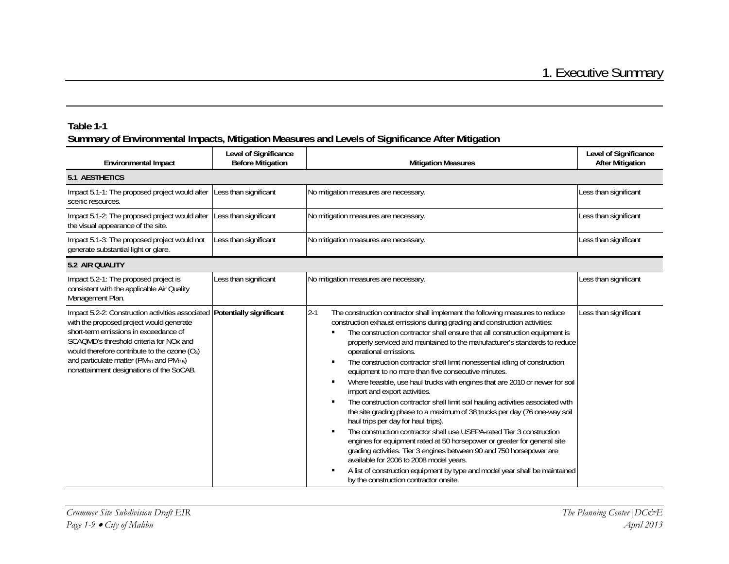| <b>Environmental Impact</b>                                                                                                                                                                                                                                                                                                                                                             | Level of Significance<br><b>Before Mitigation</b> | <b>Mitigation Measures</b>                                                                                                                                                                                                                                                                                                                                                                                                                                                                                                                                                                                                                                                                                                                                                                                                                                                                                                                                                                                                                                                                                                                                                                                                                                                                  | Level of Significance<br><b>After Mitigation</b> |
|-----------------------------------------------------------------------------------------------------------------------------------------------------------------------------------------------------------------------------------------------------------------------------------------------------------------------------------------------------------------------------------------|---------------------------------------------------|---------------------------------------------------------------------------------------------------------------------------------------------------------------------------------------------------------------------------------------------------------------------------------------------------------------------------------------------------------------------------------------------------------------------------------------------------------------------------------------------------------------------------------------------------------------------------------------------------------------------------------------------------------------------------------------------------------------------------------------------------------------------------------------------------------------------------------------------------------------------------------------------------------------------------------------------------------------------------------------------------------------------------------------------------------------------------------------------------------------------------------------------------------------------------------------------------------------------------------------------------------------------------------------------|--------------------------------------------------|
| <b>5.1 AESTHETICS</b>                                                                                                                                                                                                                                                                                                                                                                   |                                                   |                                                                                                                                                                                                                                                                                                                                                                                                                                                                                                                                                                                                                                                                                                                                                                                                                                                                                                                                                                                                                                                                                                                                                                                                                                                                                             |                                                  |
| Impact 5.1-1: The proposed project would alter<br>scenic resources.                                                                                                                                                                                                                                                                                                                     | Less than significant                             | No mitigation measures are necessary.                                                                                                                                                                                                                                                                                                                                                                                                                                                                                                                                                                                                                                                                                                                                                                                                                                                                                                                                                                                                                                                                                                                                                                                                                                                       | Less than significant                            |
| Impact 5.1-2: The proposed project would alter Less than significant<br>the visual appearance of the site.                                                                                                                                                                                                                                                                              |                                                   | No mitigation measures are necessary.                                                                                                                                                                                                                                                                                                                                                                                                                                                                                                                                                                                                                                                                                                                                                                                                                                                                                                                                                                                                                                                                                                                                                                                                                                                       | Less than significant                            |
| Impact 5.1-3: The proposed project would not<br>generate substantial light or glare.                                                                                                                                                                                                                                                                                                    | Less than significant                             | No mitigation measures are necessary.                                                                                                                                                                                                                                                                                                                                                                                                                                                                                                                                                                                                                                                                                                                                                                                                                                                                                                                                                                                                                                                                                                                                                                                                                                                       | Less than significant                            |
| 5.2 AIR QUALITY                                                                                                                                                                                                                                                                                                                                                                         |                                                   |                                                                                                                                                                                                                                                                                                                                                                                                                                                                                                                                                                                                                                                                                                                                                                                                                                                                                                                                                                                                                                                                                                                                                                                                                                                                                             |                                                  |
| Impact 5.2-1: The proposed project is<br>consistent with the applicable Air Quality<br>Management Plan.                                                                                                                                                                                                                                                                                 | Less than significant                             | No mitigation measures are necessary.                                                                                                                                                                                                                                                                                                                                                                                                                                                                                                                                                                                                                                                                                                                                                                                                                                                                                                                                                                                                                                                                                                                                                                                                                                                       | Less than significant                            |
| Impact 5.2-2: Construction activities associated Potentially significant<br>with the proposed project would generate<br>short-term emissions in exceedance of<br>SCAQMD's threshold criteria for NO <sub>x</sub> and<br>would therefore contribute to the ozone $(O_3)$<br>and particulate matter (PM <sub>10</sub> and PM <sub>2.5</sub> )<br>nonattainment designations of the SoCAB. |                                                   | $2 - 1$<br>The construction contractor shall implement the following measures to reduce<br>construction exhaust emissions during grading and construction activities:<br>The construction contractor shall ensure that all construction equipment is<br>properly serviced and maintained to the manufacturer's standards to reduce<br>operational emissions.<br>The construction contractor shall limit nonessential idling of construction<br>٠<br>equipment to no more than five consecutive minutes.<br>Where feasible, use haul trucks with engines that are 2010 or newer for soil<br>$\blacksquare$<br>import and export activities.<br>The construction contractor shall limit soil hauling activities associated with<br>$\blacksquare$<br>the site grading phase to a maximum of 38 trucks per day (76 one-way soil<br>haul trips per day for haul trips).<br>The construction contractor shall use USEPA-rated Tier 3 construction<br>$\blacksquare$<br>engines for equipment rated at 50 horsepower or greater for general site<br>grading activities. Tier 3 engines between 90 and 750 horsepower are<br>available for 2006 to 2008 model years.<br>A list of construction equipment by type and model year shall be maintained<br>٠<br>by the construction contractor onsite. | Less than significant                            |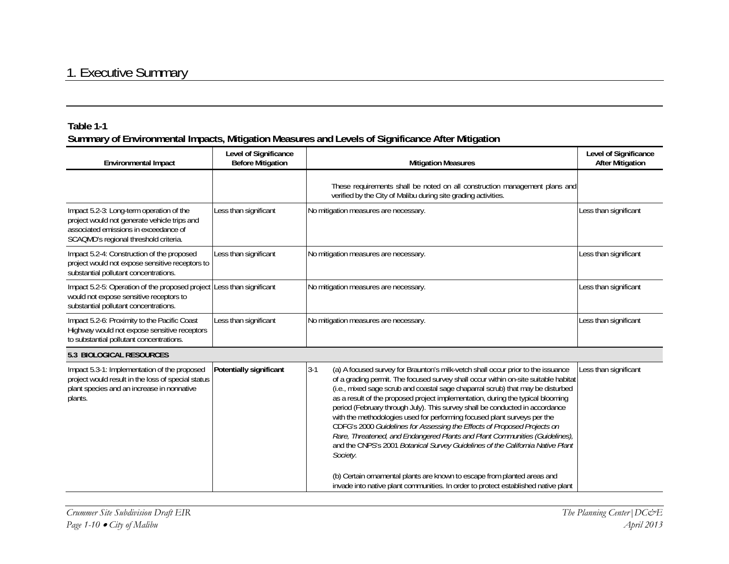| Environmental Impact                                                                                                                                                       | Level of Significance<br><b>Before Mitigation</b> | <b>Mitigation Measures</b>                                                                                                                                                                                                                                                                                                                                                                                                                                                                                                                                                                                                                                                                                                                                                                                                                                                                                                                    | Level of Significance<br><b>After Mitigation</b> |
|----------------------------------------------------------------------------------------------------------------------------------------------------------------------------|---------------------------------------------------|-----------------------------------------------------------------------------------------------------------------------------------------------------------------------------------------------------------------------------------------------------------------------------------------------------------------------------------------------------------------------------------------------------------------------------------------------------------------------------------------------------------------------------------------------------------------------------------------------------------------------------------------------------------------------------------------------------------------------------------------------------------------------------------------------------------------------------------------------------------------------------------------------------------------------------------------------|--------------------------------------------------|
|                                                                                                                                                                            |                                                   | These requirements shall be noted on all construction management plans and<br>verified by the City of Malibu during site grading activities.                                                                                                                                                                                                                                                                                                                                                                                                                                                                                                                                                                                                                                                                                                                                                                                                  |                                                  |
| Impact 5.2-3: Long-term operation of the<br>project would not generate vehicle trips and<br>associated emissions in exceedance of<br>SCAQMD's regional threshold criteria. | Less than significant                             | No mitigation measures are necessary.                                                                                                                                                                                                                                                                                                                                                                                                                                                                                                                                                                                                                                                                                                                                                                                                                                                                                                         | Less than significant                            |
| Impact 5.2-4: Construction of the proposed<br>project would not expose sensitive receptors to<br>substantial pollutant concentrations.                                     | Less than significant                             | No mitigation measures are necessary.                                                                                                                                                                                                                                                                                                                                                                                                                                                                                                                                                                                                                                                                                                                                                                                                                                                                                                         | Less than significant                            |
| Impact 5.2-5: Operation of the proposed project<br>would not expose sensitive receptors to<br>substantial pollutant concentrations.                                        | Less than significant                             | No mitigation measures are necessary.                                                                                                                                                                                                                                                                                                                                                                                                                                                                                                                                                                                                                                                                                                                                                                                                                                                                                                         | Less than significant                            |
| Impact 5.2-6: Proximity to the Pacific Coast<br>Highway would not expose sensitive receptors<br>to substantial pollutant concentrations.                                   | Less than significant                             | No mitigation measures are necessary.                                                                                                                                                                                                                                                                                                                                                                                                                                                                                                                                                                                                                                                                                                                                                                                                                                                                                                         | Less than significant                            |
| 5.3 BIOLOGICAL RESOURCES                                                                                                                                                   |                                                   |                                                                                                                                                                                                                                                                                                                                                                                                                                                                                                                                                                                                                                                                                                                                                                                                                                                                                                                                               |                                                  |
| Impact 5.3-1: Implementation of the proposed<br>project would result in the loss of special status<br>plant species and an increase in nonnative<br>plants.                | Potentially significant                           | $3-1$<br>(a) A focused survey for Braunton's milk-vetch shall occur prior to the issuance<br>of a grading permit. The focused survey shall occur within on-site suitable habitat<br>(i.e., mixed sage scrub and coastal sage chaparral scrub) that may be disturbed<br>as a result of the proposed project implementation, during the typical blooming<br>period (February through July). This survey shall be conducted in accordance<br>with the methodologies used for performing focused plant surveys per the<br>CDFG's 2000 Guidelines for Assessing the Effects of Proposed Projects on<br>Rare, Threatened, and Endangered Plants and Plant Communities (Guidelines),<br>and the CNPS's 2001 Botanical Survey Guidelines of the California Native Plant<br>Society.<br>(b) Certain ornamental plants are known to escape from planted areas and<br>invade into native plant communities. In order to protect established native plant | Less than significant                            |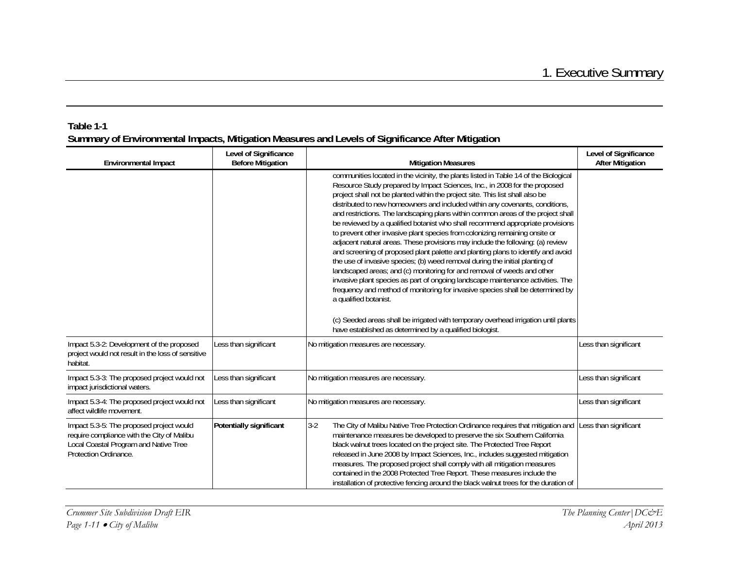| <b>Environmental Impact</b>                                                                                                                              | Level of Significance<br><b>Before Mitigation</b> | <b>Mitigation Measures</b>                                                                                                                                                                                                                                                                                                                                                                                                                                                                                                                                                                                                                                                                                                                                                                                                                                                                                                                                                                                                                                                                                                                                                                                                                                                 | Level of Significance<br><b>After Mitigation</b> |
|----------------------------------------------------------------------------------------------------------------------------------------------------------|---------------------------------------------------|----------------------------------------------------------------------------------------------------------------------------------------------------------------------------------------------------------------------------------------------------------------------------------------------------------------------------------------------------------------------------------------------------------------------------------------------------------------------------------------------------------------------------------------------------------------------------------------------------------------------------------------------------------------------------------------------------------------------------------------------------------------------------------------------------------------------------------------------------------------------------------------------------------------------------------------------------------------------------------------------------------------------------------------------------------------------------------------------------------------------------------------------------------------------------------------------------------------------------------------------------------------------------|--------------------------------------------------|
|                                                                                                                                                          |                                                   | communities located in the vicinity, the plants listed in Table 14 of the Biological<br>Resource Study prepared by Impact Sciences, Inc., in 2008 for the proposed<br>project shall not be planted within the project site. This list shall also be<br>distributed to new homeowners and included within any covenants, conditions,<br>and restrictions. The landscaping plans within common areas of the project shall<br>be reviewed by a qualified botanist who shall recommend appropriate provisions<br>to prevent other invasive plant species from colonizing remaining onsite or<br>adjacent natural areas. These provisions may include the following: (a) review<br>and screening of proposed plant palette and planting plans to identify and avoid<br>the use of invasive species; (b) weed removal during the initial planting of<br>landscaped areas; and (c) monitoring for and removal of weeds and other<br>invasive plant species as part of ongoing landscape maintenance activities. The<br>frequency and method of monitoring for invasive species shall be determined by<br>a qualified botanist.<br>(c) Seeded areas shall be irrigated with temporary overhead irrigation until plants<br>have established as determined by a qualified biologist. |                                                  |
| Impact 5.3-2: Development of the proposed<br>project would not result in the loss of sensitive<br>habitat.                                               | Less than significant                             | No mitigation measures are necessary.                                                                                                                                                                                                                                                                                                                                                                                                                                                                                                                                                                                                                                                                                                                                                                                                                                                                                                                                                                                                                                                                                                                                                                                                                                      | Less than significant                            |
| Impact 5.3-3: The proposed project would not<br>impact jurisdictional waters.                                                                            | Less than significant                             | No mitigation measures are necessary.                                                                                                                                                                                                                                                                                                                                                                                                                                                                                                                                                                                                                                                                                                                                                                                                                                                                                                                                                                                                                                                                                                                                                                                                                                      | Less than significant                            |
| Impact 5.3-4: The proposed project would not<br>affect wildlife movement.                                                                                | Less than significant                             | No mitigation measures are necessary.                                                                                                                                                                                                                                                                                                                                                                                                                                                                                                                                                                                                                                                                                                                                                                                                                                                                                                                                                                                                                                                                                                                                                                                                                                      | Less than significant                            |
| Impact 5.3-5: The proposed project would<br>require compliance with the City of Malibu<br>Local Coastal Program and Native Tree<br>Protection Ordinance. | Potentially significant                           | $3-2$<br>The City of Malibu Native Tree Protection Ordinance requires that mitigation and Less than significant<br>maintenance measures be developed to preserve the six Southern California<br>black walnut trees located on the project site. The Protected Tree Report<br>released in June 2008 by Impact Sciences, Inc., includes suggested mitigation<br>measures. The proposed project shall comply with all mitigation measures<br>contained in the 2008 Protected Tree Report. These measures include the<br>installation of protective fencing around the black walnut trees for the duration of                                                                                                                                                                                                                                                                                                                                                                                                                                                                                                                                                                                                                                                                  |                                                  |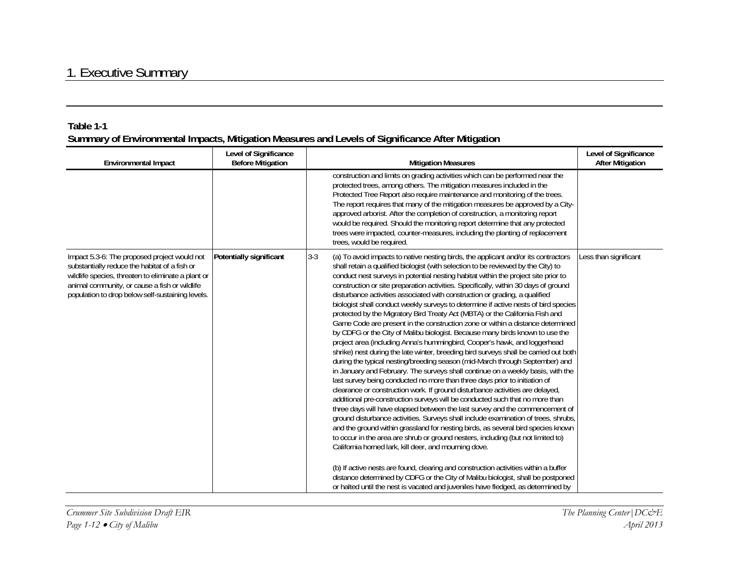| <b>Environmental Impact</b>                                                                                                                                                                                                                              | Level of Significance<br><b>Before Mitigation</b> | <b>Mitigation Measures</b>                                                                                                                                                                                                                                                                                                                                                                                                                                                                                                                                                                                                                                                                                                                                                                                                                                                                                                                                                                                                                                                                                                                                                                                                                                                                                                                                                                                                                                                                                                                                                                                                                                                                                                                                                                                                                                                                                                                                                                                                                          | Level of Significance<br><b>After Mitigation</b> |
|----------------------------------------------------------------------------------------------------------------------------------------------------------------------------------------------------------------------------------------------------------|---------------------------------------------------|-----------------------------------------------------------------------------------------------------------------------------------------------------------------------------------------------------------------------------------------------------------------------------------------------------------------------------------------------------------------------------------------------------------------------------------------------------------------------------------------------------------------------------------------------------------------------------------------------------------------------------------------------------------------------------------------------------------------------------------------------------------------------------------------------------------------------------------------------------------------------------------------------------------------------------------------------------------------------------------------------------------------------------------------------------------------------------------------------------------------------------------------------------------------------------------------------------------------------------------------------------------------------------------------------------------------------------------------------------------------------------------------------------------------------------------------------------------------------------------------------------------------------------------------------------------------------------------------------------------------------------------------------------------------------------------------------------------------------------------------------------------------------------------------------------------------------------------------------------------------------------------------------------------------------------------------------------------------------------------------------------------------------------------------------------|--------------------------------------------------|
|                                                                                                                                                                                                                                                          |                                                   | construction and limits on grading activities which can be performed near the<br>protected trees, among others. The mitigation measures included in the<br>Protected Tree Report also require maintenance and monitoring of the trees.<br>The report requires that many of the mitigation measures be approved by a City-<br>approved arborist. After the completion of construction, a monitoring report<br>would be required. Should the monitoring report determine that any protected<br>trees were impacted, counter-measures, including the planting of replacement<br>trees, would be required.                                                                                                                                                                                                                                                                                                                                                                                                                                                                                                                                                                                                                                                                                                                                                                                                                                                                                                                                                                                                                                                                                                                                                                                                                                                                                                                                                                                                                                              |                                                  |
| Impact 5.3-6: The proposed project would not<br>substantially reduce the habitat of a fish or<br>wildlife species, threaten to eliminate a plant or<br>animal community, or cause a fish or wildlife<br>population to drop below self-sustaining levels. | Potentially significant                           | $3 - 3$<br>(a) To avoid impacts to native nesting birds, the applicant and/or its contractors<br>shall retain a qualified biologist (with selection to be reviewed by the City) to<br>conduct nest surveys in potential nesting habitat within the project site prior to<br>construction or site preparation activities. Specifically, within 30 days of ground<br>disturbance activities associated with construction or grading, a qualified<br>biologist shall conduct weekly surveys to determine if active nests of bird species<br>protected by the Migratory Bird Treaty Act (MBTA) or the California Fish and<br>Game Code are present in the construction zone or within a distance determined<br>by CDFG or the City of Malibu biologist. Because many birds known to use the<br>project area (including Anna's hummingbird, Cooper's hawk, and loggerhead<br>shrike) nest during the late winter, breeding bird surveys shall be carried out both<br>during the typical nesting/breeding season (mid-March through September) and<br>in January and February. The surveys shall continue on a weekly basis, with the<br>last survey being conducted no more than three days prior to initiation of<br>clearance or construction work. If ground disturbance activities are delayed,<br>additional pre-construction surveys will be conducted such that no more than<br>three days will have elapsed between the last survey and the commencement of<br>ground disturbance activities. Surveys shall include examination of trees, shrubs,<br>and the ground within grassland for nesting birds, as several bird species known<br>to occur in the area are shrub or ground nesters, including (but not limited to)<br>California horned lark, kill deer, and mourning dove.<br>(b) If active nests are found, clearing and construction activities within a buffer<br>distance determined by CDFG or the City of Malibu biologist, shall be postponed<br>or halted until the nest is vacated and juveniles have fledged, as determined by | Less than significant                            |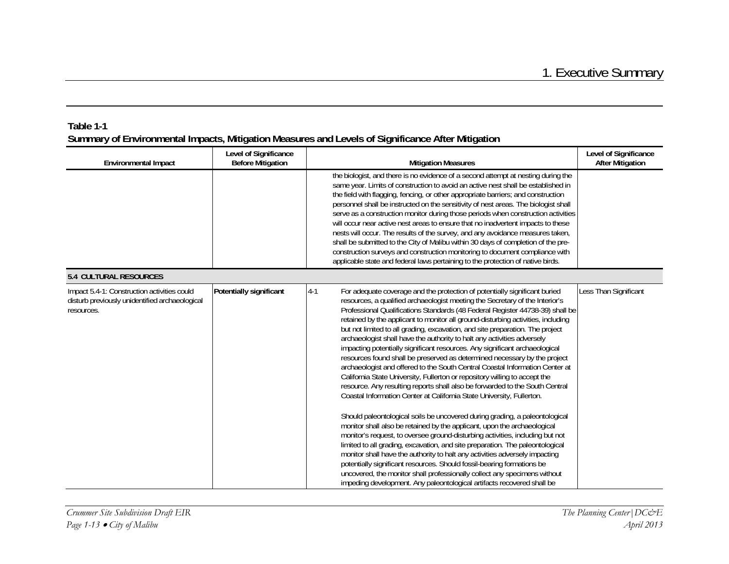| <b>Environmental Impact</b>                                                                                 | Level of Significance<br><b>Before Mitigation</b> | <b>Mitigation Measures</b>                                                                                                                                                                                                                                                                                                                                                                                                                                                                                                                                                                                                                                                                                                                                                                                                                                                                                                                                                                                                                                                                                                                                                                                                                                                                                                                                                                                                                                                                                                                                                                                                             | Level of Significance<br><b>After Mitigation</b> |
|-------------------------------------------------------------------------------------------------------------|---------------------------------------------------|----------------------------------------------------------------------------------------------------------------------------------------------------------------------------------------------------------------------------------------------------------------------------------------------------------------------------------------------------------------------------------------------------------------------------------------------------------------------------------------------------------------------------------------------------------------------------------------------------------------------------------------------------------------------------------------------------------------------------------------------------------------------------------------------------------------------------------------------------------------------------------------------------------------------------------------------------------------------------------------------------------------------------------------------------------------------------------------------------------------------------------------------------------------------------------------------------------------------------------------------------------------------------------------------------------------------------------------------------------------------------------------------------------------------------------------------------------------------------------------------------------------------------------------------------------------------------------------------------------------------------------------|--------------------------------------------------|
|                                                                                                             |                                                   | the biologist, and there is no evidence of a second attempt at nesting during the<br>same year. Limits of construction to avoid an active nest shall be established in<br>the field with flagging, fencing, or other appropriate barriers; and construction<br>personnel shall be instructed on the sensitivity of nest areas. The biologist shall<br>serve as a construction monitor during those periods when construction activities<br>will occur near active nest areas to ensure that no inadvertent impacts to these<br>nests will occur. The results of the survey, and any avoidance measures taken,<br>shall be submitted to the City of Malibu within 30 days of completion of the pre-<br>construction surveys and construction monitoring to document compliance with<br>applicable state and federal laws pertaining to the protection of native birds.                                                                                                                                                                                                                                                                                                                                                                                                                                                                                                                                                                                                                                                                                                                                                                  |                                                  |
| <b>5.4 CULTURAL RESOURCES</b>                                                                               |                                                   |                                                                                                                                                                                                                                                                                                                                                                                                                                                                                                                                                                                                                                                                                                                                                                                                                                                                                                                                                                                                                                                                                                                                                                                                                                                                                                                                                                                                                                                                                                                                                                                                                                        |                                                  |
| Impact 5.4-1: Construction activities could<br>disturb previously unidentified archaeological<br>resources. | Potentially significant                           | $4 - 1$<br>For adequate coverage and the protection of potentially significant buried<br>resources, a qualified archaeologist meeting the Secretary of the Interior's<br>Professional Qualifications Standards (48 Federal Register 44738-39) shall be<br>retained by the applicant to monitor all ground-disturbing activities, including<br>but not limited to all grading, excavation, and site preparation. The project<br>archaeologist shall have the authority to halt any activities adversely<br>impacting potentially significant resources. Any significant archaeological<br>resources found shall be preserved as determined necessary by the project<br>archaeologist and offered to the South Central Coastal Information Center at<br>California State University, Fullerton or repository willing to accept the<br>resource. Any resulting reports shall also be forwarded to the South Central<br>Coastal Information Center at California State University, Fullerton.<br>Should paleontological soils be uncovered during grading, a paleontological<br>monitor shall also be retained by the applicant, upon the archaeological<br>monitor's request, to oversee ground-disturbing activities, including but not<br>limited to all grading, excavation, and site preparation. The paleontological<br>monitor shall have the authority to halt any activities adversely impacting<br>potentially significant resources. Should fossil-bearing formations be<br>uncovered, the monitor shall professionally collect any specimens without<br>impeding development. Any paleontological artifacts recovered shall be | Less Than Significant                            |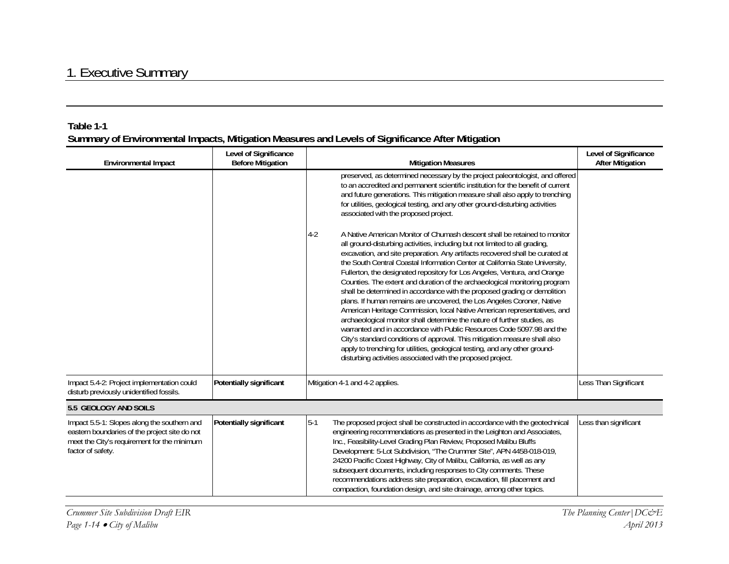| Summary of Environmental Impacts, Mitigation Measures and Levels of Significance After Mitigation | Table 1-1 |  |  |
|---------------------------------------------------------------------------------------------------|-----------|--|--|
|                                                                                                   |           |  |  |

|                                                                                                                                                                  | Level of Significance    |                                                                                                                                                                                                                                                                                                                                                                                                                                                                                                                                                                                                                                                                                                                                                                                                                                                                                                                                                                                                                                                                                                                      | Level of Significance   |
|------------------------------------------------------------------------------------------------------------------------------------------------------------------|--------------------------|----------------------------------------------------------------------------------------------------------------------------------------------------------------------------------------------------------------------------------------------------------------------------------------------------------------------------------------------------------------------------------------------------------------------------------------------------------------------------------------------------------------------------------------------------------------------------------------------------------------------------------------------------------------------------------------------------------------------------------------------------------------------------------------------------------------------------------------------------------------------------------------------------------------------------------------------------------------------------------------------------------------------------------------------------------------------------------------------------------------------|-------------------------|
| Environmental Impact                                                                                                                                             | <b>Before Mitigation</b> | <b>Mitigation Measures</b>                                                                                                                                                                                                                                                                                                                                                                                                                                                                                                                                                                                                                                                                                                                                                                                                                                                                                                                                                                                                                                                                                           | <b>After Mitigation</b> |
|                                                                                                                                                                  |                          | preserved, as determined necessary by the project paleontologist, and offered<br>to an accredited and permanent scientific institution for the benefit of current<br>and future generations. This mitigation measure shall also apply to trenching<br>for utilities, geological testing, and any other ground-disturbing activities<br>associated with the proposed project.                                                                                                                                                                                                                                                                                                                                                                                                                                                                                                                                                                                                                                                                                                                                         |                         |
|                                                                                                                                                                  |                          | $4 - 2$<br>A Native American Monitor of Chumash descent shall be retained to monitor<br>all ground-disturbing activities, including but not limited to all grading,<br>excavation, and site preparation. Any artifacts recovered shall be curated at<br>the South Central Coastal Information Center at California State University,<br>Fullerton, the designated repository for Los Angeles, Ventura, and Orange<br>Counties. The extent and duration of the archaeological monitoring program<br>shall be determined in accordance with the proposed grading or demolition<br>plans. If human remains are uncovered, the Los Angeles Coroner, Native<br>American Heritage Commission, local Native American representatives, and<br>archaeological monitor shall determine the nature of further studies, as<br>warranted and in accordance with Public Resources Code 5097.98 and the<br>City's standard conditions of approval. This mitigation measure shall also<br>apply to trenching for utilities, geological testing, and any other ground-<br>disturbing activities associated with the proposed project. |                         |
| Impact 5.4-2: Project implementation could<br>disturb previously unidentified fossils.                                                                           | Potentially significant  | Mitigation 4-1 and 4-2 applies.                                                                                                                                                                                                                                                                                                                                                                                                                                                                                                                                                                                                                                                                                                                                                                                                                                                                                                                                                                                                                                                                                      | Less Than Significant   |
| 5.5 GEOLOGY AND SOILS                                                                                                                                            |                          |                                                                                                                                                                                                                                                                                                                                                                                                                                                                                                                                                                                                                                                                                                                                                                                                                                                                                                                                                                                                                                                                                                                      |                         |
| Impact 5.5-1: Slopes along the southern and<br>eastern boundaries of the project site do not<br>meet the City's requirement for the minimum<br>factor of safety. | Potentially significant  | $5-1$<br>The proposed project shall be constructed in accordance with the geotechnical<br>engineering recommendations as presented in the Leighton and Associates,<br>Inc., Feasibility-Level Grading Plan Review, Proposed Malibu Bluffs<br>Development: 5-Lot Subdivision, "The Crummer Site", APN 4458-018-019,<br>24200 Pacific Coast Highway, City of Malibu, California, as well as any<br>subsequent documents, including responses to City comments. These<br>recommendations address site preparation, excavation, fill placement and<br>compaction, foundation design, and site drainage, among other topics.                                                                                                                                                                                                                                                                                                                                                                                                                                                                                              | Less than significant   |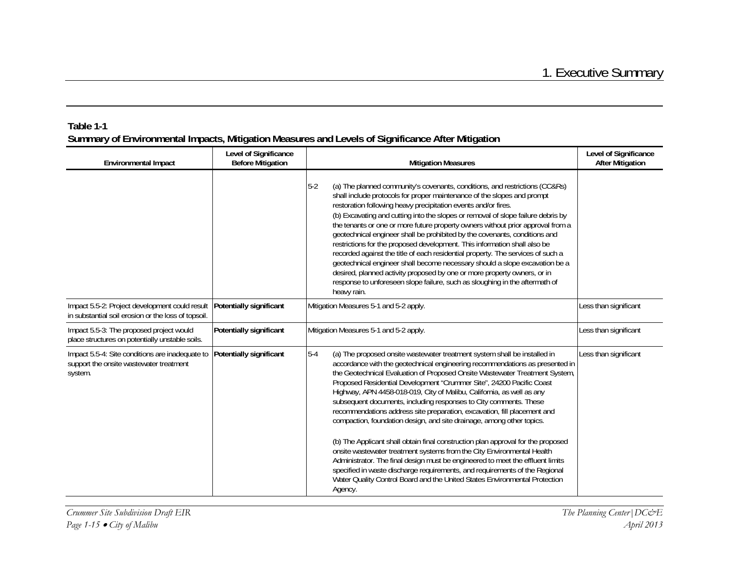| <b>Environmental Impact</b>                                                                           | Level of Significance<br><b>Before Mitigation</b> | <b>Mitigation Measures</b>                                                                                                                                                                                                                                                                                                                                                                                                                                                                                                                                                                                                                                                                                                                                                                                                                                                                                                                                                                                                                           | Level of Significance<br><b>After Mitigation</b> |
|-------------------------------------------------------------------------------------------------------|---------------------------------------------------|------------------------------------------------------------------------------------------------------------------------------------------------------------------------------------------------------------------------------------------------------------------------------------------------------------------------------------------------------------------------------------------------------------------------------------------------------------------------------------------------------------------------------------------------------------------------------------------------------------------------------------------------------------------------------------------------------------------------------------------------------------------------------------------------------------------------------------------------------------------------------------------------------------------------------------------------------------------------------------------------------------------------------------------------------|--------------------------------------------------|
|                                                                                                       |                                                   | $5-2$<br>(a) The planned community's covenants, conditions, and restrictions (CC&Rs)<br>shall include protocols for proper maintenance of the slopes and prompt<br>restoration following heavy precipitation events and/or fires.<br>(b) Excavating and cutting into the slopes or removal of slope failure debris by<br>the tenants or one or more future property owners without prior approval from a<br>geotechnical engineer shall be prohibited by the covenants, conditions and<br>restrictions for the proposed development. This information shall also be<br>recorded against the title of each residential property. The services of such a<br>geotechnical engineer shall become necessary should a slope excavation be a<br>desired, planned activity proposed by one or more property owners, or in<br>response to unforeseen slope failure, such as sloughing in the aftermath of<br>heavy rain.                                                                                                                                      |                                                  |
| Impact 5.5-2: Project development could result<br>in substantial soil erosion or the loss of topsoil. | Potentially significant                           | Mitigation Measures 5-1 and 5-2 apply.                                                                                                                                                                                                                                                                                                                                                                                                                                                                                                                                                                                                                                                                                                                                                                                                                                                                                                                                                                                                               | Less than significant                            |
| Impact 5.5-3: The proposed project would<br>place structures on potentially unstable soils.           | Potentially significant                           | Mitigation Measures 5-1 and 5-2 apply.                                                                                                                                                                                                                                                                                                                                                                                                                                                                                                                                                                                                                                                                                                                                                                                                                                                                                                                                                                                                               | Less than significant                            |
| Impact 5.5-4: Site conditions are inadequate to<br>support the onsite wastewater treatment<br>system. | Potentially significant                           | $5-4$<br>(a) The proposed onsite wastewater treatment system shall be installed in<br>accordance with the geotechnical engineering recommendations as presented in<br>the Geotechnical Evaluation of Proposed Onsite Wastewater Treatment System,<br>Proposed Residential Development "Crummer Site", 24200 Pacific Coast<br>Highway, APN 4458-018-019, City of Malibu, California, as well as any<br>subsequent documents, including responses to City comments. These<br>recommendations address site preparation, excavation, fill placement and<br>compaction, foundation design, and site drainage, among other topics.<br>(b) The Applicant shall obtain final construction plan approval for the proposed<br>onsite wastewater treatment systems from the City Environmental Health<br>Administrator. The final design must be engineered to meet the effluent limits<br>specified in waste discharge requirements, and requirements of the Regional<br>Water Quality Control Board and the United States Environmental Protection<br>Agency. | Less than significant                            |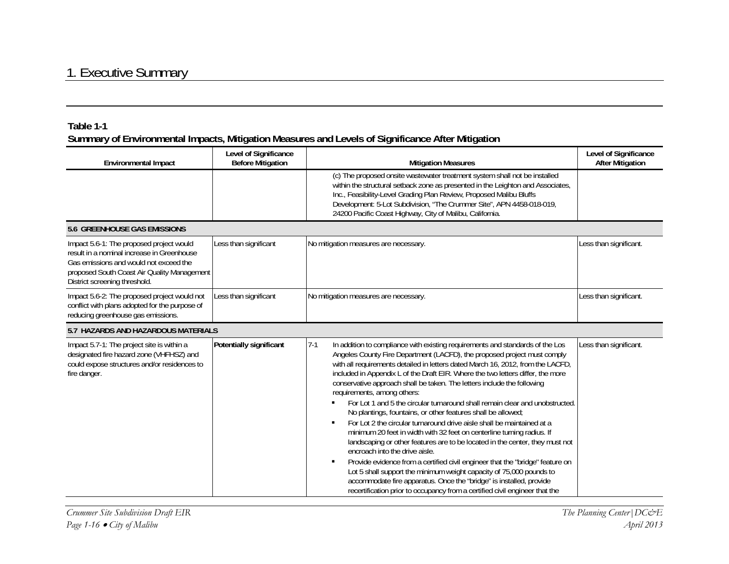| <b>Environmental Impact</b>                                                                                                                                                                                      | Level of Significance<br><b>Before Mitigation</b> | <b>Mitigation Measures</b>                                                                                                                                                                                                                                                                                                                                                                                                                                                                                                                                                                                                                                                                                                                                                                                                                                                                                                                                                                                                                                                                                                                                                                                                      | Level of Significance<br><b>After Mitigation</b> |
|------------------------------------------------------------------------------------------------------------------------------------------------------------------------------------------------------------------|---------------------------------------------------|---------------------------------------------------------------------------------------------------------------------------------------------------------------------------------------------------------------------------------------------------------------------------------------------------------------------------------------------------------------------------------------------------------------------------------------------------------------------------------------------------------------------------------------------------------------------------------------------------------------------------------------------------------------------------------------------------------------------------------------------------------------------------------------------------------------------------------------------------------------------------------------------------------------------------------------------------------------------------------------------------------------------------------------------------------------------------------------------------------------------------------------------------------------------------------------------------------------------------------|--------------------------------------------------|
|                                                                                                                                                                                                                  |                                                   | (c) The proposed onsite wastewater treatment system shall not be installed<br>within the structural setback zone as presented in the Leighton and Associates,<br>Inc., Feasibility-Level Grading Plan Review, Proposed Malibu Bluffs<br>Development: 5-Lot Subdivision, "The Crummer Site", APN 4458-018-019,<br>24200 Pacific Coast Highway, City of Malibu, California.                                                                                                                                                                                                                                                                                                                                                                                                                                                                                                                                                                                                                                                                                                                                                                                                                                                       |                                                  |
| <b>5.6 GREENHOUSE GAS EMISSIONS</b>                                                                                                                                                                              |                                                   |                                                                                                                                                                                                                                                                                                                                                                                                                                                                                                                                                                                                                                                                                                                                                                                                                                                                                                                                                                                                                                                                                                                                                                                                                                 |                                                  |
| Impact 5.6-1: The proposed project would<br>result in a nominal increase in Greenhouse<br>Gas emissions and would not exceed the<br>proposed South Coast Air Quality Management<br>District screening threshold. | Less than significant                             | No mitigation measures are necessary.                                                                                                                                                                                                                                                                                                                                                                                                                                                                                                                                                                                                                                                                                                                                                                                                                                                                                                                                                                                                                                                                                                                                                                                           | Less than significant.                           |
| Impact 5.6-2: The proposed project would not<br>conflict with plans adopted for the purpose of<br>reducing greenhouse gas emissions.                                                                             | Less than significant                             | No mitigation measures are necessary.                                                                                                                                                                                                                                                                                                                                                                                                                                                                                                                                                                                                                                                                                                                                                                                                                                                                                                                                                                                                                                                                                                                                                                                           | Less than significant.                           |
| 5.7 HAZARDS AND HAZARDOUS MATERIALS                                                                                                                                                                              |                                                   |                                                                                                                                                                                                                                                                                                                                                                                                                                                                                                                                                                                                                                                                                                                                                                                                                                                                                                                                                                                                                                                                                                                                                                                                                                 |                                                  |
| Impact 5.7-1: The project site is within a<br>designated fire hazard zone (VHFHSZ) and<br>could expose structures and/or residences to<br>fire danger.                                                           | Potentially significant                           | $7-1$<br>In addition to compliance with existing requirements and standards of the Los<br>Angeles County Fire Department (LACFD), the proposed project must comply<br>with all requirements detailed in letters dated March 16, 2012, from the LACFD,<br>included in Appendix L of the Draft EIR. Where the two letters differ, the more<br>conservative approach shall be taken. The letters include the following<br>requirements, among others:<br>For Lot 1 and 5 the circular turnaround shall remain clear and unobstructed.<br>٠<br>No plantings, fountains, or other features shall be allowed;<br>For Lot 2 the circular turnaround drive aisle shall be maintained at a<br>$\blacksquare$<br>minimum 20 feet in width with 32 feet on centerline turning radius. If<br>landscaping or other features are to be located in the center, they must not<br>encroach into the drive aisle.<br>Provide evidence from a certified civil engineer that the "bridge" feature on<br>$\blacksquare$<br>Lot 5 shall support the minimum weight capacity of 75,000 pounds to<br>accommodate fire apparatus. Once the "bridge" is installed, provide<br>recertification prior to occupancy from a certified civil engineer that the | Less than significant.                           |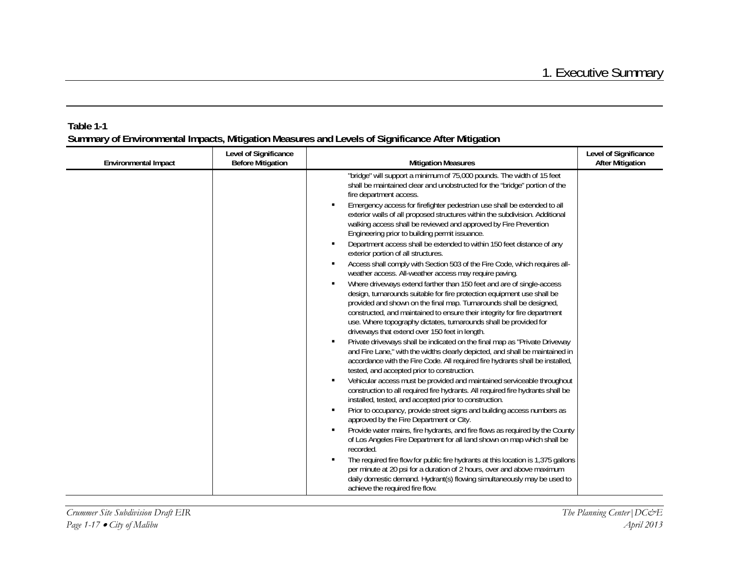| <b>Environmental Impact</b> | Level of Significance<br><b>Before Mitigation</b> | <b>Mitigation Measures</b>                                                                                                                                                                                                                                                                                                                                                                                                                                                                                                                                                                                                                                                                                                                                                                                                                                                                                                                                                                                                                                                                                                                                                                                                                                                                                                                                                                                                                                                                                                                                                                                                                                                                                                                                                                                                                                                                                                                                                                                                                                                                                                                                                                                                                                                                                                                                 | Level of Significance<br><b>After Mitigation</b> |
|-----------------------------|---------------------------------------------------|------------------------------------------------------------------------------------------------------------------------------------------------------------------------------------------------------------------------------------------------------------------------------------------------------------------------------------------------------------------------------------------------------------------------------------------------------------------------------------------------------------------------------------------------------------------------------------------------------------------------------------------------------------------------------------------------------------------------------------------------------------------------------------------------------------------------------------------------------------------------------------------------------------------------------------------------------------------------------------------------------------------------------------------------------------------------------------------------------------------------------------------------------------------------------------------------------------------------------------------------------------------------------------------------------------------------------------------------------------------------------------------------------------------------------------------------------------------------------------------------------------------------------------------------------------------------------------------------------------------------------------------------------------------------------------------------------------------------------------------------------------------------------------------------------------------------------------------------------------------------------------------------------------------------------------------------------------------------------------------------------------------------------------------------------------------------------------------------------------------------------------------------------------------------------------------------------------------------------------------------------------------------------------------------------------------------------------------------------------|--------------------------------------------------|
|                             |                                                   | "bridge" will support a minimum of 75,000 pounds. The width of 15 feet<br>shall be maintained clear and unobstructed for the "bridge" portion of the<br>fire department access.<br>Emergency access for firefighter pedestrian use shall be extended to all<br>exterior walls of all proposed structures within the subdivision. Additional<br>walking access shall be reviewed and approved by Fire Prevention<br>Engineering prior to building permit issuance.<br>Department access shall be extended to within 150 feet distance of any<br>$\blacksquare$<br>exterior portion of all structures.<br>Access shall comply with Section 503 of the Fire Code, which requires all-<br>٠<br>weather access. All-weather access may require paving.<br>Where driveways extend farther than 150 feet and are of single-access<br>$\blacksquare$<br>design, turnarounds suitable for fire protection equipment use shall be<br>provided and shown on the final map. Turnarounds shall be designed,<br>constructed, and maintained to ensure their integrity for fire department<br>use. Where topography dictates, turnarounds shall be provided for<br>driveways that extend over 150 feet in length.<br>Private driveways shall be indicated on the final map as "Private Driveway<br>and Fire Lane," with the widths clearly depicted, and shall be maintained in<br>accordance with the Fire Code. All required fire hydrants shall be installed,<br>tested, and accepted prior to construction.<br>Vehicular access must be provided and maintained serviceable throughout<br>$\blacksquare$<br>construction to all required fire hydrants. All required fire hydrants shall be<br>installed, tested, and accepted prior to construction.<br>Prior to occupancy, provide street signs and building access numbers as<br>$\blacksquare$<br>approved by the Fire Department or City.<br>Provide water mains, fire hydrants, and fire flows as required by the County<br>$\blacksquare$<br>of Los Angeles Fire Department for all land shown on map which shall be<br>recorded.<br>The required fire flow for public fire hydrants at this location is 1,375 gallons<br>per minute at 20 psi for a duration of 2 hours, over and above maximum<br>daily domestic demand. Hydrant(s) flowing simultaneously may be used to<br>achieve the required fire flow. |                                                  |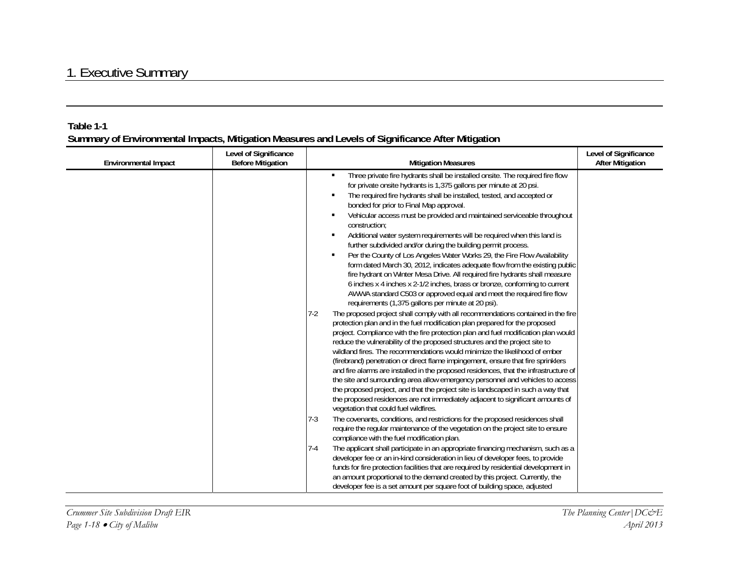| <b>Environmental Impact</b> | Level of Significance<br><b>Before Mitigation</b> | <b>Mitigation Measures</b>                                                                                                                                                                                                                                                                                                                                                                                                                                                                                                                                                                                                                                                                                                                                                                                                                                                                                                                                                                                                                                                                                                                                                                                                                                                                                                                                                                                                                                                                                                                                                                            | Level of Significance<br><b>After Mitigation</b> |
|-----------------------------|---------------------------------------------------|-------------------------------------------------------------------------------------------------------------------------------------------------------------------------------------------------------------------------------------------------------------------------------------------------------------------------------------------------------------------------------------------------------------------------------------------------------------------------------------------------------------------------------------------------------------------------------------------------------------------------------------------------------------------------------------------------------------------------------------------------------------------------------------------------------------------------------------------------------------------------------------------------------------------------------------------------------------------------------------------------------------------------------------------------------------------------------------------------------------------------------------------------------------------------------------------------------------------------------------------------------------------------------------------------------------------------------------------------------------------------------------------------------------------------------------------------------------------------------------------------------------------------------------------------------------------------------------------------------|--------------------------------------------------|
|                             |                                                   | Three private fire hydrants shall be installed onsite. The required fire flow<br>٠<br>for private onsite hydrants is 1,375 gallons per minute at 20 psi.<br>The required fire hydrants shall be installed, tested, and accepted or<br>bonded for prior to Final Map approval.<br>Vehicular access must be provided and maintained serviceable throughout<br>٠<br>construction:<br>Additional water system requirements will be required when this land is<br>٠<br>further subdivided and/or during the building permit process.<br>Per the County of Los Angeles Water Works 29, the Fire Flow Availability<br>٠<br>form dated March 30, 2012, indicates adequate flow from the existing public<br>fire hydrant on Winter Mesa Drive. All required fire hydrants shall measure<br>6 inches x 4 inches x 2-1/2 inches, brass or bronze, conforming to current<br>AWWA standard C503 or approved equal and meet the required fire flow<br>requirements (1,375 gallons per minute at 20 psi).<br>The proposed project shall comply with all recommendations contained in the fire<br>$7-2$<br>protection plan and in the fuel modification plan prepared for the proposed<br>project. Compliance with the fire protection plan and fuel modification plan would<br>reduce the vulnerability of the proposed structures and the project site to<br>wildland fires. The recommendations would minimize the likelihood of ember<br>(firebrand) penetration or direct flame impingement, ensure that fire sprinklers<br>and fire alarms are installed in the proposed residences, that the infrastructure of |                                                  |
|                             |                                                   | the site and surrounding area allow emergency personnel and vehicles to access<br>the proposed project, and that the project site is landscaped in such a way that<br>the proposed residences are not immediately adjacent to significant amounts of<br>vegetation that could fuel wildfires.                                                                                                                                                                                                                                                                                                                                                                                                                                                                                                                                                                                                                                                                                                                                                                                                                                                                                                                                                                                                                                                                                                                                                                                                                                                                                                         |                                                  |
|                             |                                                   | $7-3$<br>The covenants, conditions, and restrictions for the proposed residences shall<br>require the regular maintenance of the vegetation on the project site to ensure<br>compliance with the fuel modification plan.                                                                                                                                                                                                                                                                                                                                                                                                                                                                                                                                                                                                                                                                                                                                                                                                                                                                                                                                                                                                                                                                                                                                                                                                                                                                                                                                                                              |                                                  |
|                             |                                                   | $7-4$<br>The applicant shall participate in an appropriate financing mechanism, such as a<br>developer fee or an in-kind consideration in lieu of developer fees, to provide<br>funds for fire protection facilities that are required by residential development in<br>an amount proportional to the demand created by this project. Currently, the<br>developer fee is a set amount per square foot of building space, adjusted                                                                                                                                                                                                                                                                                                                                                                                                                                                                                                                                                                                                                                                                                                                                                                                                                                                                                                                                                                                                                                                                                                                                                                     |                                                  |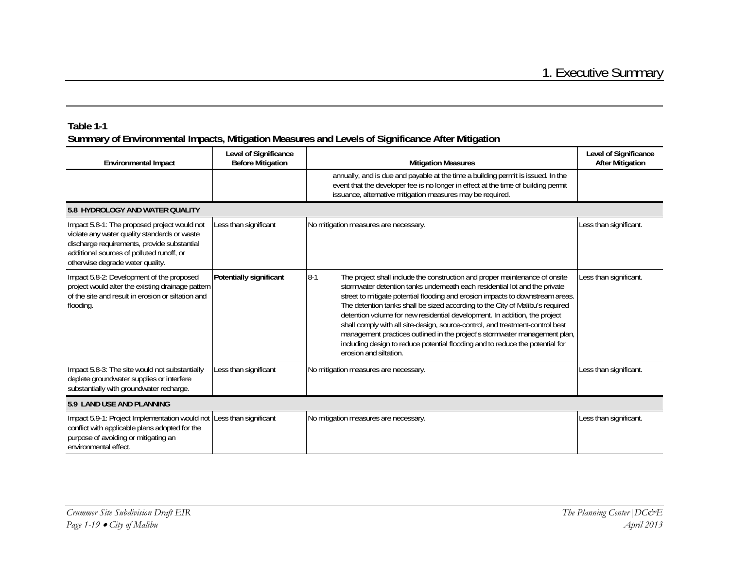| <b>Environmental Impact</b>                                                                                                                                                                                                  | Level of Significance<br><b>Before Mitigation</b> | <b>Mitigation Measures</b>                                                                                                                                                                                                                                                                                                                                                                                                                                                                                                                                                                                                                                                                      | Level of Significance<br><b>After Mitigation</b> |  |  |
|------------------------------------------------------------------------------------------------------------------------------------------------------------------------------------------------------------------------------|---------------------------------------------------|-------------------------------------------------------------------------------------------------------------------------------------------------------------------------------------------------------------------------------------------------------------------------------------------------------------------------------------------------------------------------------------------------------------------------------------------------------------------------------------------------------------------------------------------------------------------------------------------------------------------------------------------------------------------------------------------------|--------------------------------------------------|--|--|
|                                                                                                                                                                                                                              |                                                   | annually, and is due and payable at the time a building permit is issued. In the<br>event that the developer fee is no longer in effect at the time of building permit<br>issuance, alternative mitigation measures may be required.                                                                                                                                                                                                                                                                                                                                                                                                                                                            |                                                  |  |  |
| 5.8 HYDROLOGY AND WATER QUALITY                                                                                                                                                                                              |                                                   |                                                                                                                                                                                                                                                                                                                                                                                                                                                                                                                                                                                                                                                                                                 |                                                  |  |  |
| Impact 5.8-1: The proposed project would not<br>violate any water quality standards or waste<br>discharge requirements, provide substantial<br>additional sources of polluted runoff, or<br>otherwise degrade water quality. | Less than significant                             | No mitigation measures are necessary.                                                                                                                                                                                                                                                                                                                                                                                                                                                                                                                                                                                                                                                           | Less than significant.                           |  |  |
| Impact 5.8-2: Development of the proposed<br>project would alter the existing drainage pattern<br>of the site and result in erosion or siltation and<br>flooding.                                                            | Potentially significant                           | $8 - 1$<br>The project shall include the construction and proper maintenance of onsite<br>stormwater detention tanks underneath each residential lot and the private<br>street to mitigate potential flooding and erosion impacts to downstream areas.<br>The detention tanks shall be sized according to the City of Malibu's required<br>detention volume for new residential development. In addition, the project<br>shall comply with all site-design, source-control, and treatment-control best<br>management practices outlined in the project's stormwater management plan,<br>including design to reduce potential flooding and to reduce the potential for<br>erosion and siltation. | Less than significant.                           |  |  |
| Impact 5.8-3: The site would not substantially<br>deplete groundwater supplies or interfere<br>substantially with groundwater recharge.                                                                                      | Less than significant                             | No mitigation measures are necessary.                                                                                                                                                                                                                                                                                                                                                                                                                                                                                                                                                                                                                                                           | Less than significant.                           |  |  |
| 5.9 LAND USE AND PLANNING                                                                                                                                                                                                    |                                                   |                                                                                                                                                                                                                                                                                                                                                                                                                                                                                                                                                                                                                                                                                                 |                                                  |  |  |
| Impact 5.9-1: Project Implementation would not<br>conflict with applicable plans adopted for the<br>purpose of avoiding or mitigating an<br>environmental effect.                                                            | Less than significant                             | No mitigation measures are necessary.                                                                                                                                                                                                                                                                                                                                                                                                                                                                                                                                                                                                                                                           | Less than significant.                           |  |  |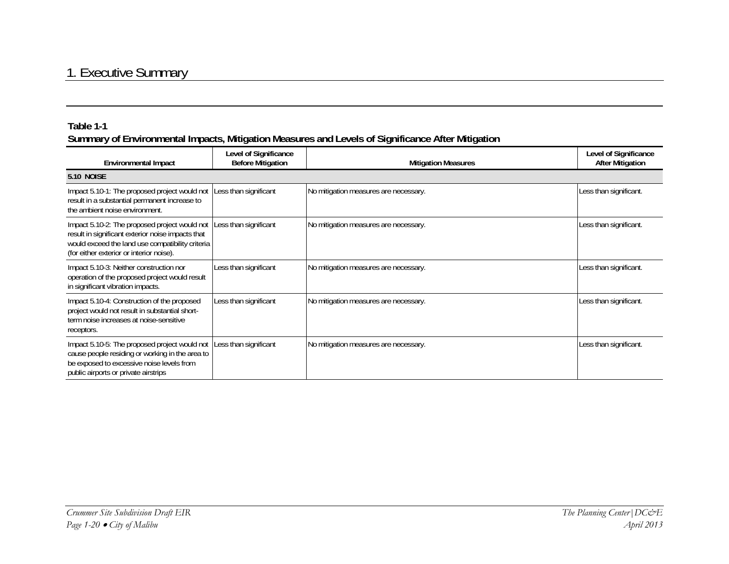#### **Table 1-1**

| <b>Environmental Impact</b>                                                                                                                                                                                              | Level of Significance<br><b>Before Mitigation</b> | <b>Mitigation Measures</b>            | Level of Significance<br><b>After Mitigation</b> |  |  |
|--------------------------------------------------------------------------------------------------------------------------------------------------------------------------------------------------------------------------|---------------------------------------------------|---------------------------------------|--------------------------------------------------|--|--|
| <b>5.10 NOISE</b>                                                                                                                                                                                                        |                                                   |                                       |                                                  |  |  |
| Impact 5.10-1: The proposed project would not<br>result in a substantial permanent increase to<br>the ambient noise environment.                                                                                         | Less than significant                             | No mitigation measures are necessary. | Less than significant.                           |  |  |
| Impact 5.10-2: The proposed project would not Less than significant<br>result in significant exterior noise impacts that<br>would exceed the land use compatibility criteria<br>(for either exterior or interior noise). |                                                   | No mitigation measures are necessary. | Less than significant.                           |  |  |
| Impact 5.10-3: Neither construction nor<br>operation of the proposed project would result<br>in significant vibration impacts.                                                                                           | Less than significant                             | No mitigation measures are necessary. | Less than significant.                           |  |  |
| Impact 5.10-4: Construction of the proposed<br>project would not result in substantial short-<br>term noise increases at noise-sensitive<br>receptors.                                                                   | Less than significant                             | No mitigation measures are necessary. | Less than significant.                           |  |  |
| Impact 5.10-5: The proposed project would not Less than significant<br>cause people residing or working in the area to<br>be exposed to excessive noise levels from<br>public airports or private airstrips              |                                                   | No mitigation measures are necessary. | Less than significant.                           |  |  |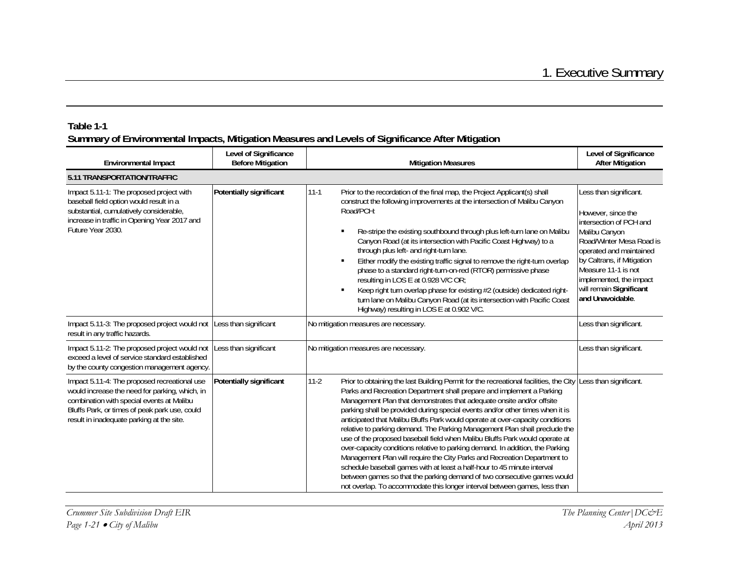| <b>Environmental Impact</b>                                                                                                                                                                                                               | Level of Significance<br><b>Before Mitigation</b> | <b>Mitigation Measures</b>                                                                                                                                                                                                                                                                                                                                                                                                                                                                                                                                                                                                                                                                                                                                                                                                                                                                                                                                                       | Level of Significance<br><b>After Mitigation</b>                                                                                                                                                                                                                               |  |  |  |
|-------------------------------------------------------------------------------------------------------------------------------------------------------------------------------------------------------------------------------------------|---------------------------------------------------|----------------------------------------------------------------------------------------------------------------------------------------------------------------------------------------------------------------------------------------------------------------------------------------------------------------------------------------------------------------------------------------------------------------------------------------------------------------------------------------------------------------------------------------------------------------------------------------------------------------------------------------------------------------------------------------------------------------------------------------------------------------------------------------------------------------------------------------------------------------------------------------------------------------------------------------------------------------------------------|--------------------------------------------------------------------------------------------------------------------------------------------------------------------------------------------------------------------------------------------------------------------------------|--|--|--|
| 5.11 TRANSPORTATION/TRAFFIC                                                                                                                                                                                                               |                                                   |                                                                                                                                                                                                                                                                                                                                                                                                                                                                                                                                                                                                                                                                                                                                                                                                                                                                                                                                                                                  |                                                                                                                                                                                                                                                                                |  |  |  |
| Impact 5.11-1: The proposed project with<br>baseball field option would result in a<br>substantial, cumulatively considerable,<br>increase in traffic in Opening Year 2017 and<br>Future Year 2030.                                       | Potentially significant                           | Prior to the recordation of the final map, the Project Applicant(s) shall<br>$11 - 1$<br>construct the following improvements at the intersection of Malibu Canyon<br>Road/PCH:<br>Re-stripe the existing southbound through plus left-turn lane on Malibu<br>Canyon Road (at its intersection with Pacific Coast Highway) to a<br>through plus left- and right-turn lane.<br>Either modify the existing traffic signal to remove the right-turn overlap<br>п<br>phase to a standard right-turn-on-red (RTOR) permissive phase<br>resulting in LOS E at 0.928 V/C OR;<br>Keep right turn overlap phase for existing #2 (outside) dedicated right-<br>٠<br>turn lane on Malibu Canyon Road (at its intersection with Pacific Coast<br>Highway) resulting in LOS E at 0.902 V/C.                                                                                                                                                                                                   | Less than significant.<br>However, since the<br>intersection of PCH and<br>Malibu Canyon<br>Road/Winter Mesa Road is<br>operated and maintained<br>by Caltrans, if Mitigation<br>Measure 11-1 is not<br>implemented, the impact<br>will remain Significant<br>and Unavoidable. |  |  |  |
| Impact 5.11-3: The proposed project would not<br>result in any traffic hazards.                                                                                                                                                           | Less than significant                             | No mitigation measures are necessary.                                                                                                                                                                                                                                                                                                                                                                                                                                                                                                                                                                                                                                                                                                                                                                                                                                                                                                                                            | Less than significant.                                                                                                                                                                                                                                                         |  |  |  |
| Impact 5.11-2: The proposed project would not<br>exceed a level of service standard established<br>by the county congestion management agency.                                                                                            | Less than significant                             | No mitigation measures are necessary.                                                                                                                                                                                                                                                                                                                                                                                                                                                                                                                                                                                                                                                                                                                                                                                                                                                                                                                                            | Less than significant.                                                                                                                                                                                                                                                         |  |  |  |
| Impact 5.11-4: The proposed recreational use<br>would increase the need for parking, which, in<br>combination with special events at Malibu<br>Bluffs Park, or times of peak park use, could<br>result in inadequate parking at the site. | Potentially significant                           | $11-2$<br>Prior to obtaining the last Building Permit for the recreational facilities, the City<br>Parks and Recreation Department shall prepare and implement a Parking<br>Management Plan that demonstrates that adequate onsite and/or offsite<br>parking shall be provided during special events and/or other times when it is<br>anticipated that Malibu Bluffs Park would operate at over-capacity conditions<br>relative to parking demand. The Parking Management Plan shall preclude the<br>use of the proposed baseball field when Malibu Bluffs Park would operate at<br>over-capacity conditions relative to parking demand. In addition, the Parking<br>Management Plan will require the City Parks and Recreation Department to<br>schedule baseball games with at least a half-hour to 45 minute interval<br>between games so that the parking demand of two consecutive games would<br>not overlap. To accommodate this longer interval between games, less than | Less than significant.                                                                                                                                                                                                                                                         |  |  |  |